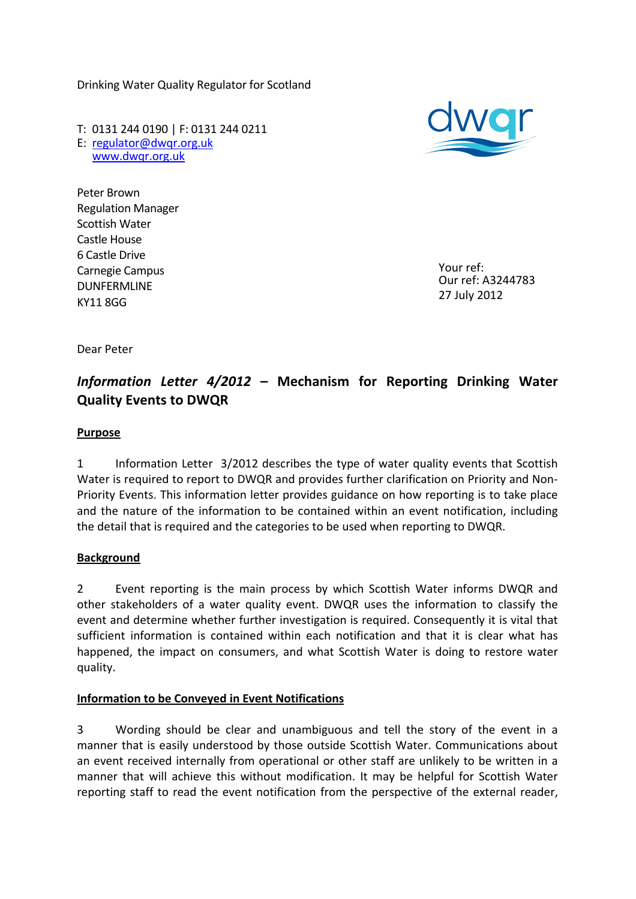Drinking Water Quality Regulator for Scotland

T: 0131 244 0190 | F: 0131 244 0211 E: [regulator@dwqr.org.uk](mailto:regulator@dwqr.org.uk) [www.dwqr.org.uk](http://www.dwqr.org.uk/) 



Peter Brown Regulation Manager Scottish Water Castle House 6 Castle Drive Carnegie Campus DUNFERMLINE KY11 8GG

Your ref: Our ref: A3244783 27 July 2012

Dear Peter

# *Information Letter 4/2012* **– Mechanism for Reporting Drinking Water Quality Events to DWQR**

## **Purpose**

1 Information Letter 3/2012 describes the type of water quality events that Scottish Water is required to report to DWQR and provides further clarification on Priority and Non-Priority Events. This information letter provides guidance on how reporting is to take place and the nature of the information to be contained within an event notification, including the detail that is required and the categories to be used when reporting to DWQR.

### **Background**

2 Event reporting is the main process by which Scottish Water informs DWQR and other stakeholders of a water quality event. DWQR uses the information to classify the event and determine whether further investigation is required. Consequently it is vital that sufficient information is contained within each notification and that it is clear what has happened, the impact on consumers, and what Scottish Water is doing to restore water quality.

### **Information to be Conveyed in Event Notifications**

3 Wording should be clear and unambiguous and tell the story of the event in a manner that is easily understood by those outside Scottish Water. Communications about an event received internally from operational or other staff are unlikely to be written in a manner that will achieve this without modification. It may be helpful for Scottish Water reporting staff to read the event notification from the perspective of the external reader,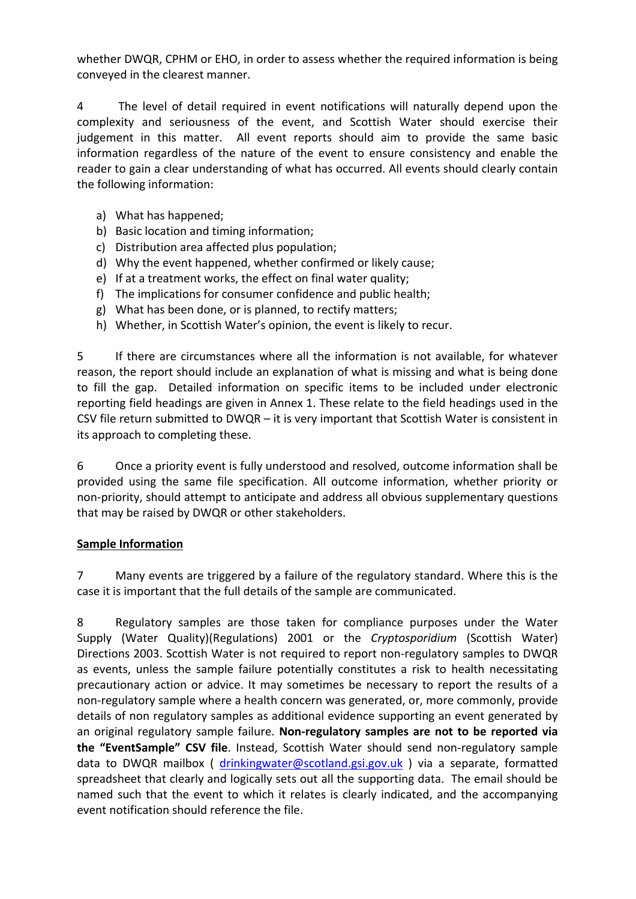whether DWQR, CPHM or EHO, in order to assess whether the required information is being conveyed in the clearest manner.

4 The level of detail required in event notifications will naturally depend upon the complexity and seriousness of the event, and Scottish Water should exercise their judgement in this matter. All event reports should aim to provide the same basic information regardless of the nature of the event to ensure consistency and enable the reader to gain a clear understanding of what has occurred. All events should clearly contain the following information:

- a) What has happened;
- b) Basic location and timing information;
- c) Distribution area affected plus population;
- d) Why the event happened, whether confirmed or likely cause;
- e) If at a treatment works, the effect on final water quality;
- f) The implications for consumer confidence and public health;
- g) What has been done, or is planned, to rectify matters;
- h) Whether, in Scottish Water's opinion, the event is likely to recur.

5 If there are circumstances where all the information is not available, for whatever reason, the report should include an explanation of what is missing and what is being done to fill the gap. Detailed information on specific items to be included under electronic reporting field headings are given in Annex 1. These relate to the field headings used in the CSV file return submitted to DWQR – it is very important that Scottish Water is consistent in its approach to completing these.

6 Once a priority event is fully understood and resolved, outcome information shall be provided using the same file specification. All outcome information, whether priority or non-priority, should attempt to anticipate and address all obvious supplementary questions that may be raised by DWQR or other stakeholders.

# **Sample Information**

7 Many events are triggered by a failure of the regulatory standard. Where this is the case it is important that the full details of the sample are communicated.

8 Regulatory samples are those taken for compliance purposes under the Water Supply (Water Quality)(Regulations) 2001 or the *Cryptosporidium* (Scottish Water) Directions 2003. Scottish Water is not required to report non-regulatory samples to DWQR as events, unless the sample failure potentially constitutes a risk to health necessitating precautionary action or advice. It may sometimes be necessary to report the results of a non-regulatory sample where a health concern was generated, or, more commonly, provide details of non regulatory samples as additional evidence supporting an event generated by an original regulatory sample failure. **Non-regulatory samples are not to be reported via the "EventSample" CSV file**. Instead, Scottish Water should send non-regulatory sample data to DWQR mailbox ( [drinkingwater@scotland.gsi.gov.uk](mailto:drinkingwater@scotland.gsi.gov.uk) ) via a separate, formatted spreadsheet that clearly and logically sets out all the supporting data. The email should be named such that the event to which it relates is clearly indicated, and the accompanying event notification should reference the file.